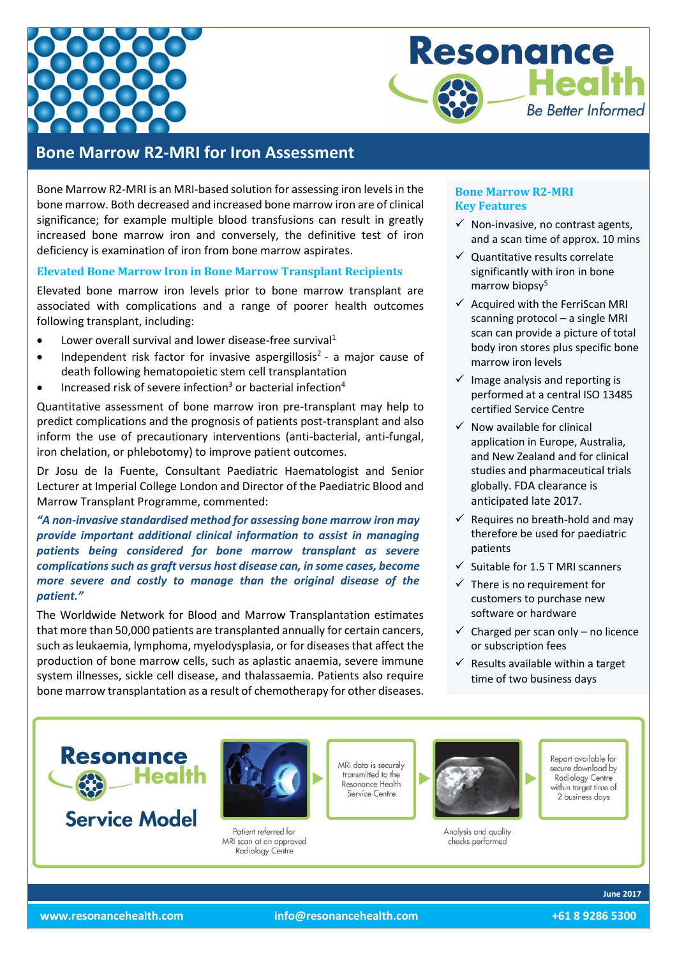



# **Bone Marrow R2-MRI for Iron Assessment**

Bone Marrow R2-MRI is an MRI-based solution for assessing iron levels in the bone marrow. Both decreased and increased bone marrow iron are of clinical significance; for example multiple blood transfusions can result in greatly increased bone marrow iron and conversely, the definitive test of iron deficiency is examination of iron from bone marrow aspirates.

# **Elevated Bone Marrow Iron in Bone Marrow Transplant Recipients**

Elevated bone marrow iron levels prior to bone marrow transplant are associated with complications and a range of poorer health outcomes following transplant, including:

- $\bullet$  Lower overall survival and lower disease-free survival<sup>1</sup>
- Independent risk factor for invasive aspergillosis<sup>2</sup> a major cause of death following hematopoietic stem cell transplantation
- Increased risk of severe infection<sup>3</sup> or bacterial infection<sup>4</sup>

Quantitative assessment of bone marrow iron pre-transplant may help to predict complications and the prognosis of patients post-transplant and also inform the use of precautionary interventions (anti-bacterial, anti-fungal, iron chelation, or phlebotomy) to improve patient outcomes.

Dr Josu de la Fuente, Consultant Paediatric Haematologist and Senior Lecturer at Imperial College London and Director of the Paediatric Blood and Marrow Transplant Programme, commented:

*"A non-invasive standardised method for assessing bone marrow iron may provide important additional clinical information to assist in managing patients being considered for bone marrow transplant as severe complications such as graft versus host disease can, in some cases, become more severe and costly to manage than the original disease of the patient."*

The Worldwide Network for Blood and Marrow Transplantation estimates that more than 50,000 patients are transplanted annually for certain cancers, such as leukaemia, lymphoma, myelodysplasia, or for diseases that affect the production of bone marrow cells, such as aplastic anaemia, severe immune system illnesses, sickle cell disease, and thalassaemia. Patients also require bone marrow transplantation as a result of chemotherapy for other diseases.

# **Bone Marrow R2-MRI Key Features**

- $\checkmark$  Non-invasive, no contrast agents, and a scan time of approx. 10 mins
- $\checkmark$  Quantitative results correlate significantly with iron in bone marrow biopsy<sup>5</sup>
- $\checkmark$  Acquired with the FerriScan MRI scanning protocol – a single MRI scan can provide a picture of total body iron stores plus specific bone marrow iron levels
- $\checkmark$  Image analysis and reporting is performed at a central ISO 13485 certified Service Centre
- $\checkmark$  Now available for clinical application in Europe, Australia, and New Zealand and for clinical studies and pharmaceutical trials globally. FDA clearance is anticipated late 2017.
- $\checkmark$  Requires no breath-hold and may therefore be used for paediatric patients
- $\checkmark$  Suitable for 1.5 T MRI scanners
- $\checkmark$  There is no requirement for customers to purchase new software or hardware
- $\checkmark$  Charged per scan only no licence or subscription fees
- $\checkmark$  Results available within a target time of two business days



Radiology Centre

Report available for secure download by Radiology Centre within target time of 2 business days

**June 2017**